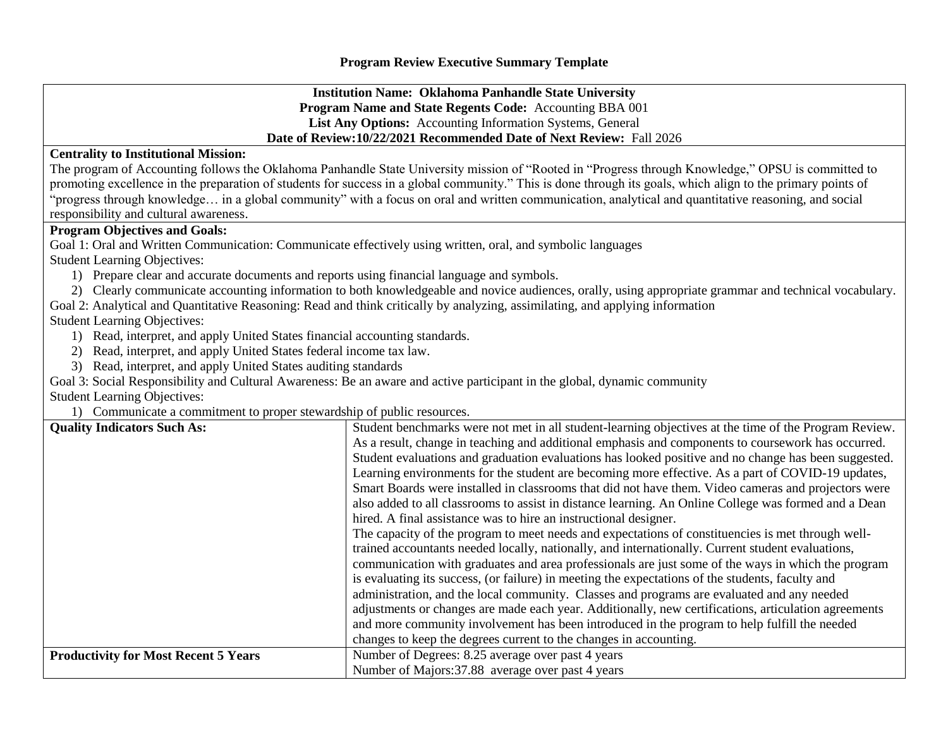**Institution Name: Oklahoma Panhandle State University Program Name and State Regents Code:** Accounting BBA 001 **List Any Options:** Accounting Information Systems, General **Date of Review:10/22/2021 Recommended Date of Next Review:** Fall 2026

## **Centrality to Institutional Mission:**

The program of Accounting follows the Oklahoma Panhandle State University mission of "Rooted in "Progress through Knowledge," OPSU is committed to promoting excellence in the preparation of students for success in a global community." This is done through its goals, which align to the primary points of "progress through knowledge… in a global community" with a focus on oral and written communication, analytical and quantitative reasoning, and social responsibility and cultural awareness.

## **Program Objectives and Goals:**

Goal 1: Oral and Written Communication: Communicate effectively using written, oral, and symbolic languages

Student Learning Objectives:

- 1) Prepare clear and accurate documents and reports using financial language and symbols.
- 2) Clearly communicate accounting information to both knowledgeable and novice audiences, orally, using appropriate grammar and technical vocabulary.

Goal 2: Analytical and Quantitative Reasoning: Read and think critically by analyzing, assimilating, and applying information

Student Learning Objectives:

- 1) Read, interpret, and apply United States financial accounting standards.
- 2) Read, interpret, and apply United States federal income tax law.
- 3) Read, interpret, and apply United States auditing standards

Goal 3: Social Responsibility and Cultural Awareness: Be an aware and active participant in the global, dynamic community

Student Learning Objectives:

1) Communicate a commitment to proper stewardship of public resources.

| <b>Quality Indicators Such As:</b>          | Student benchmarks were not met in all student-learning objectives at the time of the Program Review. |
|---------------------------------------------|-------------------------------------------------------------------------------------------------------|
|                                             | As a result, change in teaching and additional emphasis and components to coursework has occurred.    |
|                                             | Student evaluations and graduation evaluations has looked positive and no change has been suggested.  |
|                                             | Learning environments for the student are becoming more effective. As a part of COVID-19 updates,     |
|                                             | Smart Boards were installed in classrooms that did not have them. Video cameras and projectors were   |
|                                             | also added to all classrooms to assist in distance learning. An Online College was formed and a Dean  |
|                                             | hired. A final assistance was to hire an instructional designer.                                      |
|                                             | The capacity of the program to meet needs and expectations of constituencies is met through well-     |
|                                             | trained accountants needed locally, nationally, and internationally. Current student evaluations,     |
|                                             | communication with graduates and area professionals are just some of the ways in which the program    |
|                                             | is evaluating its success, (or failure) in meeting the expectations of the students, faculty and      |
|                                             | administration, and the local community. Classes and programs are evaluated and any needed            |
|                                             | adjustments or changes are made each year. Additionally, new certifications, articulation agreements  |
|                                             | and more community involvement has been introduced in the program to help fulfill the needed          |
|                                             | changes to keep the degrees current to the changes in accounting.                                     |
| <b>Productivity for Most Recent 5 Years</b> | Number of Degrees: 8.25 average over past 4 years                                                     |
|                                             | Number of Majors: 37.88 average over past 4 years                                                     |